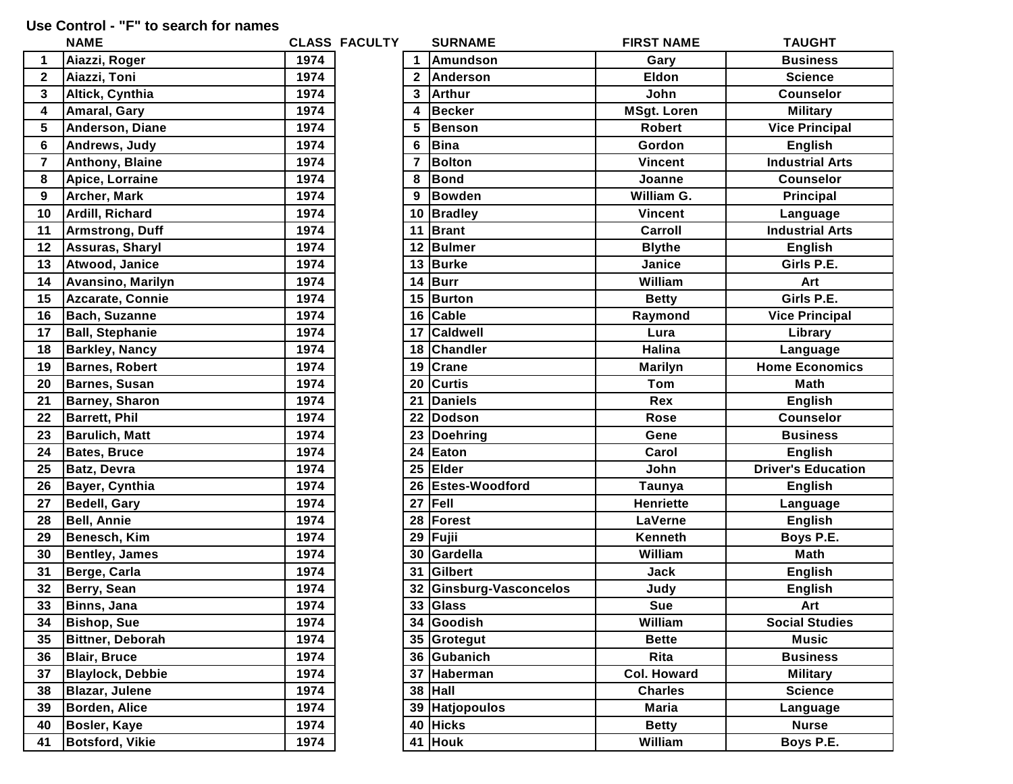## **Use Control - "F" to search for names**

|                         | <b>NAME</b>              |      | <b>CLASS FACULTY</b> |    | <b>SURNAME</b>          | <b>FIRST NAME</b>  | <b>TAUGHT</b>             |
|-------------------------|--------------------------|------|----------------------|----|-------------------------|--------------------|---------------------------|
| $\mathbf{1}$            | Aiazzi, Roger            | 1974 |                      |    | <b>Amundson</b>         | Gary               | <b>Business</b>           |
| $\overline{2}$          | Aiazzi, Toni             | 1974 |                      |    | 2 Anderson              | <b>Eldon</b>       | <b>Science</b>            |
| $\mathbf{3}$            | Altick, Cynthia          | 1974 |                      | 3  | Arthur                  | John               | <b>Counselor</b>          |
| $\overline{\mathbf{4}}$ | <b>Amaral, Gary</b>      | 1974 |                      | 4  | Becker                  | <b>MSgt. Loren</b> | <b>Military</b>           |
| 5                       | Anderson, Diane          | 1974 |                      | 5  | Benson                  | <b>Robert</b>      | <b>Vice Principal</b>     |
| 6                       | Andrews, Judy            | 1974 |                      |    | 6 Bina                  | Gordon             | <b>English</b>            |
| $\overline{\mathbf{7}}$ | <b>Anthony, Blaine</b>   | 1974 |                      | 7  | Bolton                  | <b>Vincent</b>     | <b>Industrial Arts</b>    |
| 8                       | Apice, Lorraine          | 1974 |                      | 8  | Bond                    | Joanne             | <b>Counselor</b>          |
| 9                       | <b>Archer, Mark</b>      | 1974 |                      | 9  | Bowden                  | William G.         | Principal                 |
| 10                      | Ardill, Richard          | 1974 |                      |    | 10   Bradley            | <b>Vincent</b>     | Language                  |
| 11                      | <b>Armstrong, Duff</b>   | 1974 |                      |    | 11 Brant                | Carroll            | <b>Industrial Arts</b>    |
| 12                      | <b>Assuras, Sharyl</b>   | 1974 |                      |    | 12 Bulmer               | <b>Blythe</b>      | <b>English</b>            |
| 13                      | Atwood, Janice           | 1974 |                      |    | 13 Burke                | Janice             | Girls P.E.                |
| 14                      | <b>Avansino, Marilyn</b> | 1974 |                      |    | 14 Burr                 | William            | Art                       |
| 15                      | Azcarate, Connie         | 1974 |                      |    | 15 Burton               | <b>Betty</b>       | Girls P.E.                |
| 16                      | <b>Bach, Suzanne</b>     | 1974 |                      |    | 16 Cable                | Raymond            | <b>Vice Principal</b>     |
| 17                      | <b>Ball, Stephanie</b>   | 1974 |                      | 17 | <b>Caldwell</b>         | Lura               | Library                   |
| 18                      | <b>Barkley, Nancy</b>    | 1974 |                      |    | 18 Chandler             | <b>Halina</b>      | Language                  |
| 19                      | <b>Barnes, Robert</b>    | 1974 |                      |    | 19 Crane                | <b>Marilyn</b>     | <b>Home Economics</b>     |
| 20                      | <b>Barnes, Susan</b>     | 1974 |                      | 20 | <b>Curtis</b>           | Tom                | <b>Math</b>               |
| 21                      | <b>Barney, Sharon</b>    | 1974 |                      | 21 | Daniels                 | Rex                | <b>English</b>            |
| 22                      | <b>Barrett, Phil</b>     | 1974 |                      |    | 22 Dodson               | Rose               | <b>Counselor</b>          |
| 23                      | <b>Barulich, Matt</b>    | 1974 |                      |    | 23 Doehring             | Gene               | <b>Business</b>           |
| 24                      | <b>Bates, Bruce</b>      | 1974 |                      |    | 24 Eaton                | Carol              | <b>English</b>            |
| 25                      | <b>Batz, Devra</b>       | 1974 |                      |    | 25 Elder                | John               | <b>Driver's Education</b> |
| 26                      | <b>Bayer, Cynthia</b>    | 1974 |                      |    | 26 Estes-Woodford       | Taunya             | <b>English</b>            |
| 27                      | <b>Bedell, Gary</b>      | 1974 |                      |    | 27 Fell                 | <b>Henriette</b>   | Language                  |
| 28                      | <b>Bell, Annie</b>       | 1974 |                      |    | 28 Forest               | LaVerne            | <b>English</b>            |
| 29                      | Benesch, Kim             | 1974 |                      | 29 | Fujii                   | Kenneth            | Boys P.E.                 |
| 30                      | <b>Bentley, James</b>    | 1974 |                      | 30 | Gardella                | William            | <b>Math</b>               |
| 31                      | Berge, Carla             | 1974 |                      |    | 31 Gilbert              | <b>Jack</b>        | <b>English</b>            |
| 32                      | Berry, Sean              | 1974 |                      |    | 32 Ginsburg-Vasconcelos | Judy               | <b>English</b>            |
| 33                      | <b>Binns, Jana</b>       | 1974 |                      |    | 33 Glass                | <b>Sue</b>         | Art                       |
| 34                      | <b>Bishop, Sue</b>       | 1974 |                      |    | 34 Goodish              | William            | <b>Social Studies</b>     |
| 35                      | <b>Bittner, Deborah</b>  | 1974 |                      |    | 35 Grotegut             | <b>Bette</b>       | <b>Music</b>              |
| 36                      | <b>Blair, Bruce</b>      | 1974 |                      |    | 36 Gubanich             | Rita               | <b>Business</b>           |
| 37                      | <b>Blaylock, Debbie</b>  | 1974 |                      |    | 37 Haberman             | <b>Col. Howard</b> | <b>Military</b>           |
| 38                      | <b>Blazar, Julene</b>    | 1974 |                      |    | $38$ Hall               | <b>Charles</b>     | <b>Science</b>            |
| 39                      | <b>Borden, Alice</b>     | 1974 |                      |    | 39 Hatjopoulos          | Maria              | Language                  |
| 40                      | <b>Bosler, Kaye</b>      | 1974 |                      |    | 40 Hicks                | <b>Betty</b>       | <b>Nurse</b>              |
| 41                      | <b>Botsford, Vikie</b>   | 1974 |                      |    | 41 Houk                 | William            | Boys P.E.                 |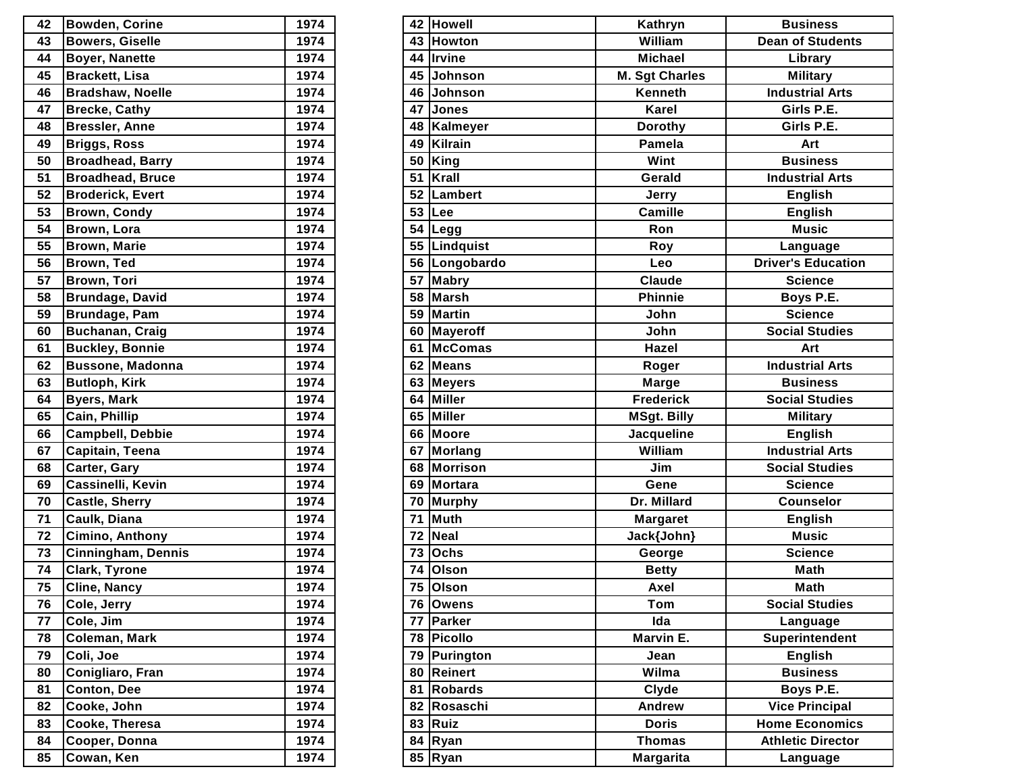| 42 | <b>Bowden, Corine</b>   | 1974 |
|----|-------------------------|------|
| 43 | <b>Bowers, Giselle</b>  | 1974 |
| 44 | <b>Boyer, Nanette</b>   | 1974 |
| 45 | <b>Brackett, Lisa</b>   | 1974 |
| 46 | <b>Bradshaw, Noelle</b> | 1974 |
| 47 | <b>Brecke, Cathy</b>    | 1974 |
| 48 | <b>Bressler, Anne</b>   | 1974 |
| 49 | <b>Briggs, Ross</b>     | 1974 |
| 50 | <b>Broadhead, Barry</b> | 1974 |
| 51 | <b>Broadhead, Bruce</b> | 1974 |
| 52 | <b>Broderick, Evert</b> | 1974 |
| 53 | <b>Brown, Condy</b>     | 1974 |
| 54 | Brown, Lora             | 1974 |
| 55 | <b>Brown, Marie</b>     | 1974 |
| 56 | Brown, Ted              | 1974 |
| 57 | Brown, Tori             | 1974 |
| 58 | <b>Brundage, David</b>  | 1974 |
| 59 | <b>Brundage, Pam</b>    | 1974 |
| 60 | <b>Buchanan, Craig</b>  | 1974 |
| 61 | <b>Buckley, Bonnie</b>  | 1974 |
| 62 | <b>Bussone, Madonna</b> | 1974 |
| 63 | <b>Butloph, Kirk</b>    | 1974 |
| 64 | <b>Byers, Mark</b>      | 1974 |
| 65 | Cain, Phillip           | 1974 |
| 66 | <b>Campbell, Debbie</b> | 1974 |
| 67 | Capitain, Teena         | 1974 |
| 68 | Carter, Gary            | 1974 |
| 69 | Cassinelli, Kevin       | 1974 |
| 70 | <b>Castle, Sherry</b>   | 1974 |
| 71 | Caulk, Diana            | 1974 |
| 72 | Cimino, Anthony         | 1974 |
| 73 | Cinningham, Dennis      | 1974 |
| 74 | <b>Clark, Tyrone</b>    | 1974 |
| 75 | Cline, Nancy            | 1974 |
| 76 | Cole, Jerry             | 1974 |
| 77 | Cole, Jim               | 1974 |
| 78 | Coleman, Mark           | 1974 |
| 79 | Coli, Joe               | 1974 |
| 80 | Conigliaro, Fran        | 1974 |
| 81 | Conton, Dee             | 1974 |
| 82 | Cooke, John             | 1974 |
| 83 | Cooke, Theresa          | 1974 |
| 84 | Cooper, Donna           | 1974 |
| 85 | Cowan, Ken              | 1974 |

| 42 | <b>Bowden, Corine</b>     | 1974 |    | 42 Howell      | Kathryn               | <b>Business</b>           |
|----|---------------------------|------|----|----------------|-----------------------|---------------------------|
| 43 | <b>Bowers, Giselle</b>    | 1974 |    | 43 Howton      | William               | <b>Dean of Students</b>   |
| 44 | <b>Boyer, Nanette</b>     | 1974 |    | 44 Irvine      | <b>Michael</b>        | Library                   |
| 45 | <b>Brackett, Lisa</b>     | 1974 | 45 | Johnson        | <b>M. Sgt Charles</b> | <b>Military</b>           |
| 46 | <b>Bradshaw, Noelle</b>   | 1974 |    | 46 Johnson     | Kenneth               | <b>Industrial Arts</b>    |
| 47 | <b>Brecke, Cathy</b>      | 1974 |    | 47 Jones       | Karel                 | Girls P.E.                |
| 48 | <b>Bressler, Anne</b>     | 1974 |    | 48   Kalmeyer  | <b>Dorothy</b>        | Girls P.E.                |
| 49 | <b>Briggs, Ross</b>       | 1974 | 49 | Kilrain        | Pamela                | Art                       |
| 50 | <b>Broadhead, Barry</b>   | 1974 | 50 | King           | Wint                  | <b>Business</b>           |
| 51 | <b>Broadhead, Bruce</b>   | 1974 |    | 51 Krall       | Gerald                | <b>Industrial Arts</b>    |
| 52 | <b>Broderick, Evert</b>   | 1974 |    | 52   Lambert   | <b>Jerry</b>          | <b>English</b>            |
| 53 | <b>Brown, Condy</b>       | 1974 | 53 | Lee            | <b>Camille</b>        | <b>English</b>            |
| 54 | Brown, Lora               | 1974 |    | 54 Legg        | <b>Ron</b>            | <b>Music</b>              |
| 55 | <b>Brown, Marie</b>       | 1974 |    | 55   Lindquist | Roy                   | Language                  |
| 56 | <b>Brown, Ted</b>         | 1974 |    | 56 Longobardo  | Leo                   | <b>Driver's Education</b> |
| 57 | <b>Brown, Tori</b>        | 1974 |    | 57 Mabry       | Claude                | <b>Science</b>            |
| 58 | <b>Brundage, David</b>    | 1974 | 58 | Marsh          | <b>Phinnie</b>        | Boys P.E.                 |
| 59 | Brundage, Pam             | 1974 | 59 | Martin         | John                  | <b>Science</b>            |
| 60 | Buchanan, Craig           | 1974 |    | 60 Mayeroff    | John                  | <b>Social Studies</b>     |
| 61 | <b>Buckley, Bonnie</b>    | 1974 |    | 61 McComas     | Hazel                 | Art                       |
| 62 | <b>Bussone, Madonna</b>   | 1974 |    | 62 Means       | Roger                 | <b>Industrial Arts</b>    |
| 63 | <b>Butloph, Kirk</b>      | 1974 | 63 | <b>Meyers</b>  | Marge                 | <b>Business</b>           |
| 64 | <b>Byers, Mark</b>        | 1974 |    | 64 Miller      | <b>Frederick</b>      | <b>Social Studies</b>     |
| 65 | Cain, Phillip             | 1974 |    | 65 Miller      | <b>MSgt. Billy</b>    | <b>Military</b>           |
| 66 | <b>Campbell, Debbie</b>   | 1974 |    | 66 Moore       | Jacqueline            | <b>English</b>            |
| 67 | Capitain, Teena           | 1974 | 67 | Morlang        | William               | <b>Industrial Arts</b>    |
| 68 | <b>Carter, Gary</b>       | 1974 | 68 | Morrison       | Jim                   | <b>Social Studies</b>     |
| 69 | <b>Cassinelli, Kevin</b>  | 1974 |    | 69 Mortara     | Gene                  | <b>Science</b>            |
| 70 | <b>Castle, Sherry</b>     | 1974 |    | 70 Murphy      | Dr. Millard           | <b>Counselor</b>          |
| 71 | Caulk, Diana              | 1974 | 71 | Muth           | <b>Margaret</b>       | <b>English</b>            |
| 72 | Cimino, Anthony           | 1974 | 72 | Neal           | Jack{John}            | <b>Music</b>              |
| 73 | <b>Cinningham, Dennis</b> | 1974 | 73 | <b>Ochs</b>    | George                | <b>Science</b>            |
| 74 | <b>Clark, Tyrone</b>      | 1974 |    | 74 Olson       | <b>Betty</b>          | <b>Math</b>               |
| 75 | <b>Cline, Nancy</b>       | 1974 |    | 75 Olson       | Axel                  | <b>Math</b>               |
| 76 | Cole, Jerry               | 1974 |    | 76 Owens       | Tom                   | <b>Social Studies</b>     |
| 77 | Cole, Jim                 | 1974 | 77 | Parker         | Ida                   | Language                  |
| 78 | Coleman, Mark             | 1974 |    | 78 Picollo     | Marvin E.             | Superintendent            |
| 79 | Coli, Joe                 | 1974 | 79 | Purington      | Jean                  | <b>English</b>            |
| 80 | Conigliaro, Fran          | 1974 |    | 80 Reinert     | Wilma                 | <b>Business</b>           |
| 81 | <b>Conton, Dee</b>        | 1974 |    | 81 Robards     | Clyde                 | Boys P.E.                 |
| 82 | Cooke, John               | 1974 |    | 82 Rosaschi    | Andrew                | <b>Vice Principal</b>     |
| 83 | Cooke, Theresa            | 1974 |    | $83$ Ruiz      | <b>Doris</b>          | <b>Home Economics</b>     |
| 84 | Cooper, Donna             | 1974 |    | 84 Ryan        | <b>Thomas</b>         | <b>Athletic Director</b>  |
| 85 | Cowan, Ken                | 1974 |    | 85 Ryan        | <b>Margarita</b>      | Language                  |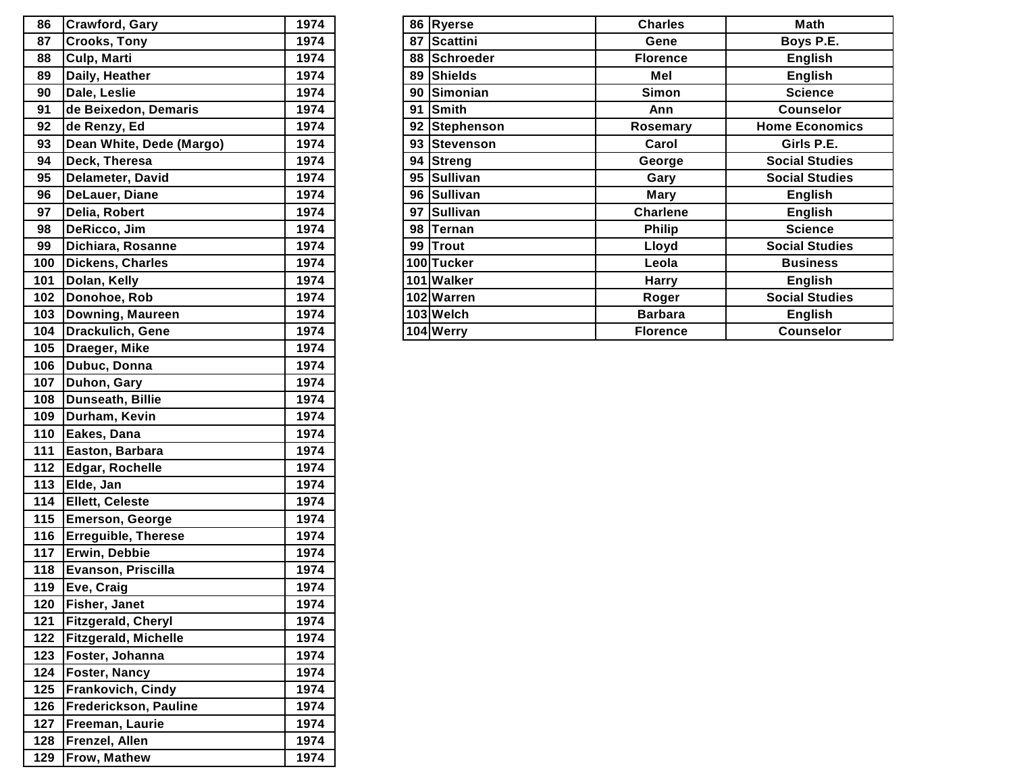| 86  | <b>Crawford, Gary</b>       | 1974 |
|-----|-----------------------------|------|
| 87  | <b>Crooks, Tony</b>         | 1974 |
| 88  | Culp, Marti                 | 1974 |
| 89  | Daily, Heather              | 1974 |
| 90  | Dale, Leslie                | 1974 |
| 91  | de Beixedon, Demaris        | 1974 |
| 92  | de Renzy, Ed                | 1974 |
| 93  | Dean White, Dede (Margo)    | 1974 |
| 94  | Deck, Theresa               | 1974 |
| 95  | Delameter, David            | 1974 |
| 96  | DeLauer, Diane              | 1974 |
| 97  | Delia, Robert               | 1974 |
| 98  | DeRicco, Jim                | 1974 |
| 99  | Dichiara, Rosanne           | 1974 |
| 100 | Dickens, Charles            | 1974 |
| 101 | Dolan, Kelly                | 1974 |
| 102 | Donohoe, Rob                | 1974 |
| 103 | Downing, Maureen            | 1974 |
| 104 | Drackulich, Gene            | 1974 |
| 105 | Draeger, Mike               | 1974 |
| 106 | Dubuc, Donna                | 1974 |
| 107 | Duhon, Gary                 | 1974 |
| 108 | <b>Dunseath, Billie</b>     | 1974 |
| 109 | Durham, Kevin               | 1974 |
| 110 | Eakes, Dana                 | 1974 |
| 111 | Easton, Barbara             | 1974 |
| 112 | Edgar, Rochelle             | 1974 |
| 113 | Elde, Jan                   | 1974 |
| 114 | <b>Ellett, Celeste</b>      | 1974 |
| 115 | <b>Emerson, George</b>      | 1974 |
| 116 | <b>Erreguible, Therese</b>  | 1974 |
| 117 | Erwin, Debbie               | 1974 |
| 118 | Evanson, Priscilla          | 1974 |
| 119 | Eve, Craig                  | 1974 |
| 120 | Fisher, Janet               | 1974 |
| 121 | Fitzgerald, Cheryl          | 1974 |
| 122 | <b>Fitzgerald, Michelle</b> | 1974 |
| 123 | Foster, Johanna             | 1974 |
| 124 | Foster, Nancy               | 1974 |
| 125 | Frankovich, Cindy           | 1974 |
| 126 | Frederickson, Pauline       | 1974 |
| 127 | Freeman, Laurie             | 1974 |
| 128 | Frenzel, Allen              | 1974 |
| 129 | Frow, Mathew                | 1974 |

| 86  | <b>Crawford, Gary</b>    | 1974 |    | 86 Ryerse     | <b>Charles</b>  | Math                  |
|-----|--------------------------|------|----|---------------|-----------------|-----------------------|
| 87  | <b>Crooks, Tony</b>      | 1974 |    | 87 Scattini   | Gene            | Boys P.E.             |
| 88  | Culp, Marti              | 1974 |    | 88 Schroeder  | <b>Florence</b> | <b>English</b>        |
| 89  | Daily, Heather           | 1974 |    | 89 Shields    | Mel             | <b>English</b>        |
| 90  | Dale, Leslie             | 1974 |    | 90 Simonian   | Simon           | <b>Science</b>        |
| 91  | de Beixedon, Demaris     | 1974 |    | 91 Smith      | Ann             | <b>Counselor</b>      |
| 92  | de Renzy, Ed             | 1974 |    | 92 Stephenson | Rosemary        | <b>Home Economics</b> |
| 93  | Dean White, Dede (Margo) | 1974 |    | 93 Stevenson  | Carol           | Girls P.E.            |
| 94  | Deck, Theresa            | 1974 |    | 94 Streng     | George          | <b>Social Studies</b> |
| 95  | Delameter, David         | 1974 |    | 95 Sullivan   | Gary            | <b>Social Studies</b> |
| 96  | DeLauer, Diane           | 1974 |    | 96 Sullivan   | Mary            | <b>English</b>        |
| 97  | Delia, Robert            | 1974 |    | 97 Sullivan   | <b>Charlene</b> | <b>English</b>        |
| 98  | DeRicco, Jim             | 1974 | 98 | Ternan        | <b>Philip</b>   | <b>Science</b>        |
| 99  | Dichiara, Rosanne        | 1974 |    | 99 Trout      | Lloyd           | <b>Social Studies</b> |
| 100 | Dickens, Charles         | 1974 |    | 100 Tucker    | Leola           | <b>Business</b>       |
| 101 | Dolan, Kelly             | 1974 |    | 101 Walker    | <b>Harry</b>    | <b>English</b>        |
| 102 | Donohoe, Rob             | 1974 |    | 102 Warren    | Roger           | <b>Social Studies</b> |
|     | 103 Downing, Maureen     | 1974 |    | 103 Welch     | <b>Barbara</b>  | <b>English</b>        |
|     | 104   Drackulich, Gene   | 1974 |    | 104 Werry     | <b>Florence</b> | <b>Counselor</b>      |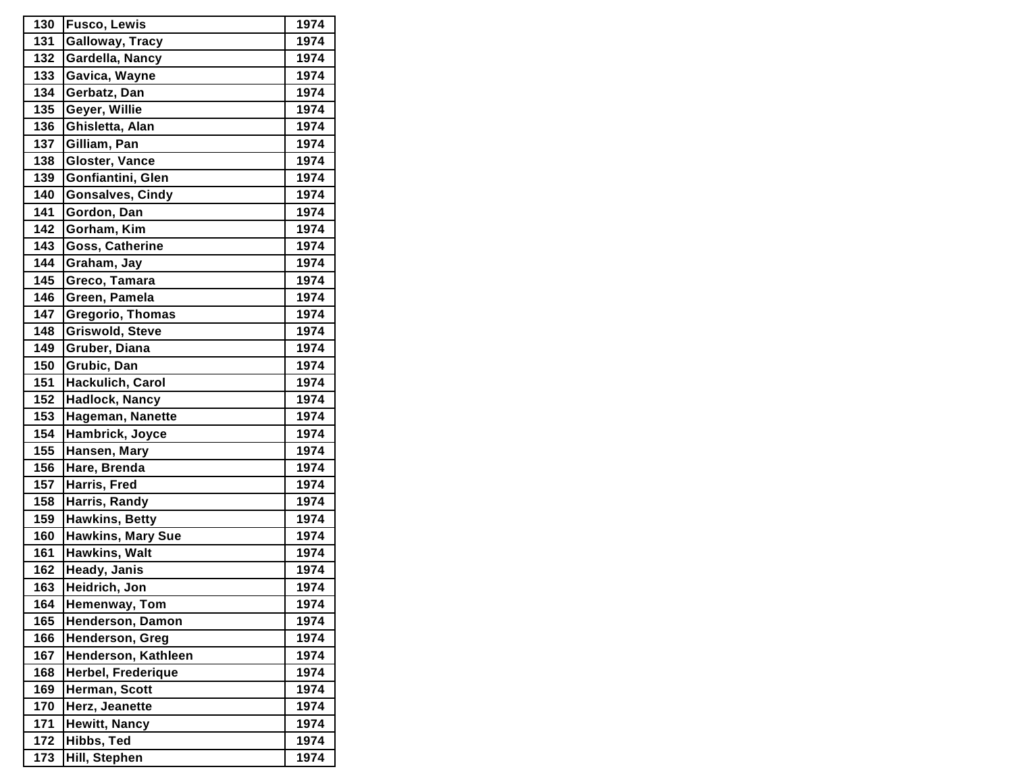| 130 | <b>Fusco, Lewis</b>     | 1974 |
|-----|-------------------------|------|
| 131 | Galloway, Tracy         | 1974 |
| 132 | Gardella, Nancy         | 1974 |
| 133 | Gavica, Wayne           | 1974 |
| 134 | Gerbatz, Dan            | 1974 |
| 135 | Geyer, Willie           | 1974 |
| 136 | Ghisletta, Alan         | 1974 |
| 137 | Gilliam, Pan            | 1974 |
| 138 | Gloster, Vance          | 1974 |
| 139 | Gonfiantini, Glen       | 1974 |
| 140 | <b>Gonsalves, Cindy</b> | 1974 |
| 141 | Gordon, Dan             | 1974 |
| 142 | Gorham, Kim             | 1974 |
| 143 | Goss, Catherine         | 1974 |
| 144 | Graham, Jay             | 1974 |
| 145 | Greco, Tamara           | 1974 |
| 146 | Green, Pamela           | 1974 |
| 147 | <b>Gregorio, Thomas</b> | 1974 |
| 148 | Griswold, Steve         | 1974 |
| 149 | Gruber, Diana           | 1974 |
| 150 | Grubic, Dan             | 1974 |
| 151 | Hackulich, Carol        | 1974 |
| 152 | <b>Hadlock, Nancy</b>   | 1974 |
| 153 | Hageman, Nanette        | 1974 |
| 154 | Hambrick, Joyce         | 1974 |
| 155 | Hansen, Mary            | 1974 |
| 156 | Hare, Brenda            | 1974 |
| 157 | Harris, Fred            | 1974 |
| 158 | Harris, Randy           | 1974 |
| 159 | <b>Hawkins, Betty</b>   | 1974 |
| 160 | Hawkins, Mary Sue       | 1974 |
| 161 | Hawkins, Walt           | 1974 |
| 162 | Heady, Janis            | 1974 |
| 163 | Heidrich, Jon           | 1974 |
| 164 | Hemenway, Tom           | 1974 |
| 165 | Henderson, Damon        | 1974 |
| 166 | Henderson, Greg         | 1974 |
| 167 | Henderson, Kathleen     | 1974 |
| 168 | Herbel, Frederique      | 1974 |
| 169 | Herman, Scott           | 1974 |
| 170 | Herz, Jeanette          | 1974 |
| 171 | <b>Hewitt, Nancy</b>    | 1974 |
| 172 | Hibbs, Ted              | 1974 |
| 173 | Hill, Stephen           | 1974 |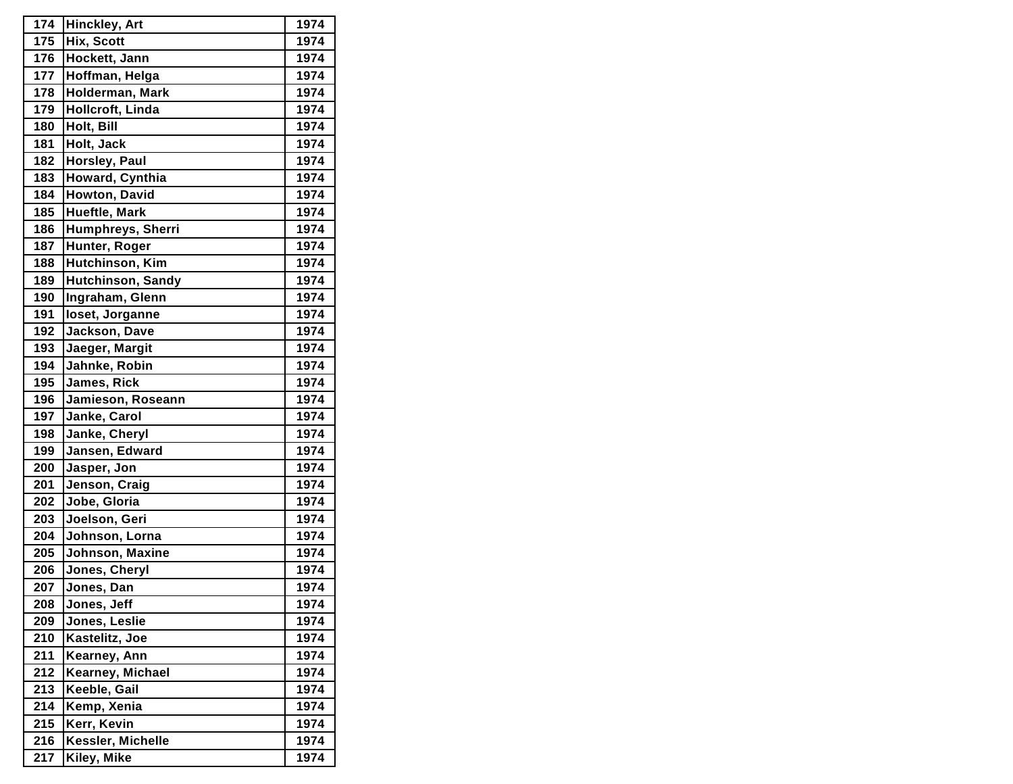| 174 | <b>Hinckley, Art</b>     | 1974 |
|-----|--------------------------|------|
| 175 | Hix, Scott               | 1974 |
| 176 | Hockett, Jann            | 1974 |
| 177 | Hoffman, Helga           | 1974 |
| 178 | Holderman, Mark          | 1974 |
| 179 | Hollcroft, Linda         | 1974 |
| 180 | Holt, Bill               | 1974 |
| 181 | Holt, Jack               | 1974 |
| 182 | Horsley, Paul            | 1974 |
| 183 | Howard, Cynthia          | 1974 |
| 184 | Howton, David            | 1974 |
| 185 | Hueftle, Mark            | 1974 |
| 186 | Humphreys, Sherri        | 1974 |
| 187 | Hunter, Roger            | 1974 |
| 188 | Hutchinson, Kim          | 1974 |
| 189 | <b>Hutchinson, Sandy</b> | 1974 |
| 190 | Ingraham, Glenn          | 1974 |
| 191 | loset, Jorganne          | 1974 |
| 192 | Jackson, Dave            | 1974 |
| 193 | Jaeger, Margit           | 1974 |
| 194 | Jahnke, Robin            | 1974 |
| 195 | James, Rick              | 1974 |
| 196 | Jamieson, Roseann        | 1974 |
| 197 | Janke, Carol             | 1974 |
| 198 | Janke, Cheryl            | 1974 |
| 199 | Jansen, Edward           | 1974 |
| 200 | Jasper, Jon              | 1974 |
| 201 | Jenson, Craig            | 1974 |
| 202 | Jobe, Gloria             | 1974 |
| 203 | Joelson, Geri            | 1974 |
| 204 | Johnson, Lorna           | 1974 |
| 205 | Johnson, Maxine          | 1974 |
| 206 | Jones, Cheryl            | 1974 |
| 207 | Jones, Dan               | 1974 |
| 208 | Jones, Jeff              | 1974 |
| 209 | Jones, Leslie            | 1974 |
| 210 | Kastelitz, Joe           | 1974 |
| 211 | Kearney, Ann             | 1974 |
| 212 | Kearney, Michael         | 1974 |
| 213 | Keeble, Gail             | 1974 |
| 214 | Kemp, Xenia              | 1974 |
| 215 | Kerr, Kevin              | 1974 |
| 216 | Kessler, Michelle        | 1974 |
| 217 | Kiley, Mike              | 1974 |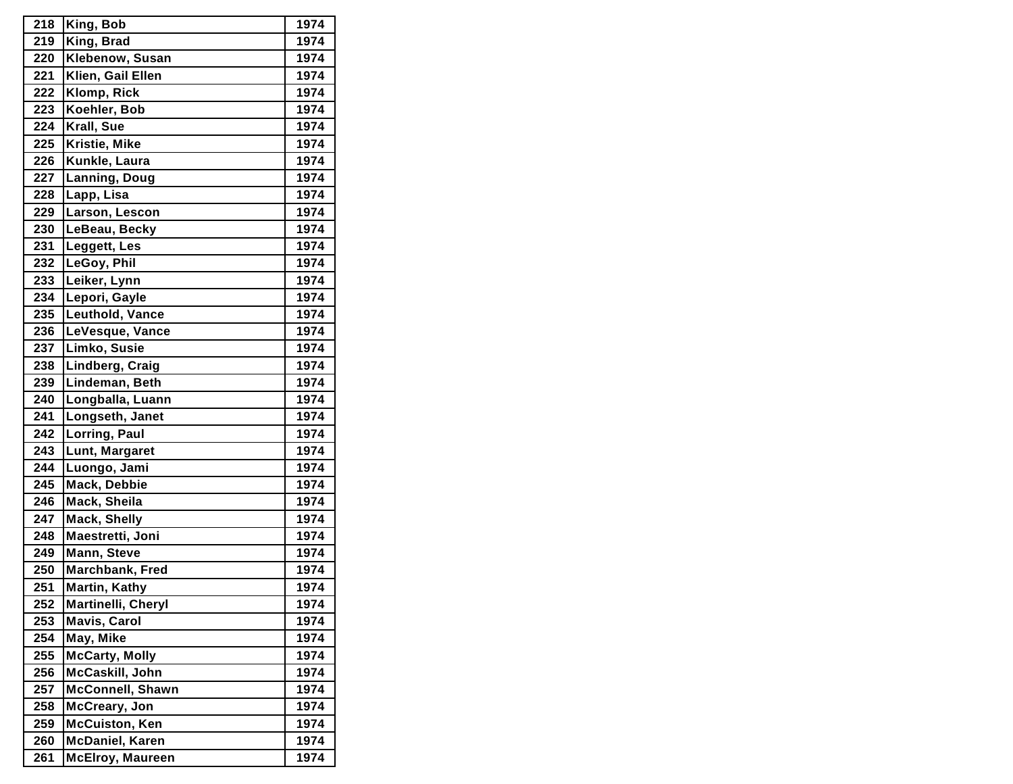| 218 | King, Bob               | 1974 |
|-----|-------------------------|------|
| 219 | King, Brad              | 1974 |
| 220 | Klebenow, Susan         | 1974 |
| 221 | Klien, Gail Ellen       | 1974 |
| 222 | Klomp, Rick             | 1974 |
| 223 | Koehler, Bob            | 1974 |
| 224 | Krall, Sue              | 1974 |
| 225 | Kristie, Mike           | 1974 |
| 226 | Kunkle, Laura           | 1974 |
| 227 | Lanning, Doug           | 1974 |
| 228 | Lapp, Lisa              | 1974 |
| 229 | Larson, Lescon          | 1974 |
| 230 | LeBeau, Becky           | 1974 |
| 231 | Leggett, Les            | 1974 |
| 232 | LeGoy, Phil             | 1974 |
| 233 | Leiker, Lynn            | 1974 |
| 234 | Lepori, Gayle           | 1974 |
| 235 | Leuthold, Vance         | 1974 |
| 236 | LeVesque, Vance         | 1974 |
| 237 | Limko, Susie            | 1974 |
| 238 | Lindberg, Craig         | 1974 |
| 239 | Lindeman, Beth          | 1974 |
| 240 | Longballa, Luann        | 1974 |
| 241 | Longseth, Janet         | 1974 |
| 242 | Lorring, Paul           | 1974 |
| 243 | Lunt, Margaret          | 1974 |
| 244 | Luongo, Jami            | 1974 |
| 245 | Mack, Debbie            | 1974 |
| 246 | Mack, Sheila            | 1974 |
| 247 | <b>Mack, Shelly</b>     | 1974 |
| 248 | Maestretti, Joni        | 1974 |
| 249 | Mann, Steve             | 1974 |
| 250 | Marchbank, Fred         | 1974 |
| 251 | Martin, Kathy           | 1974 |
| 252 | Martinelli, Cheryl      | 1974 |
| 253 | <b>Mavis, Carol</b>     | 1974 |
| 254 | May, Mike               | 1974 |
| 255 | <b>McCarty, Molly</b>   | 1974 |
| 256 | McCaskill, John         | 1974 |
| 257 | <b>McConnell, Shawn</b> | 1974 |
| 258 | McCreary, Jon           | 1974 |
| 259 | <b>McCuiston, Ken</b>   | 1974 |
| 260 | <b>McDaniel, Karen</b>  | 1974 |
| 261 | <b>McElroy, Maureen</b> | 1974 |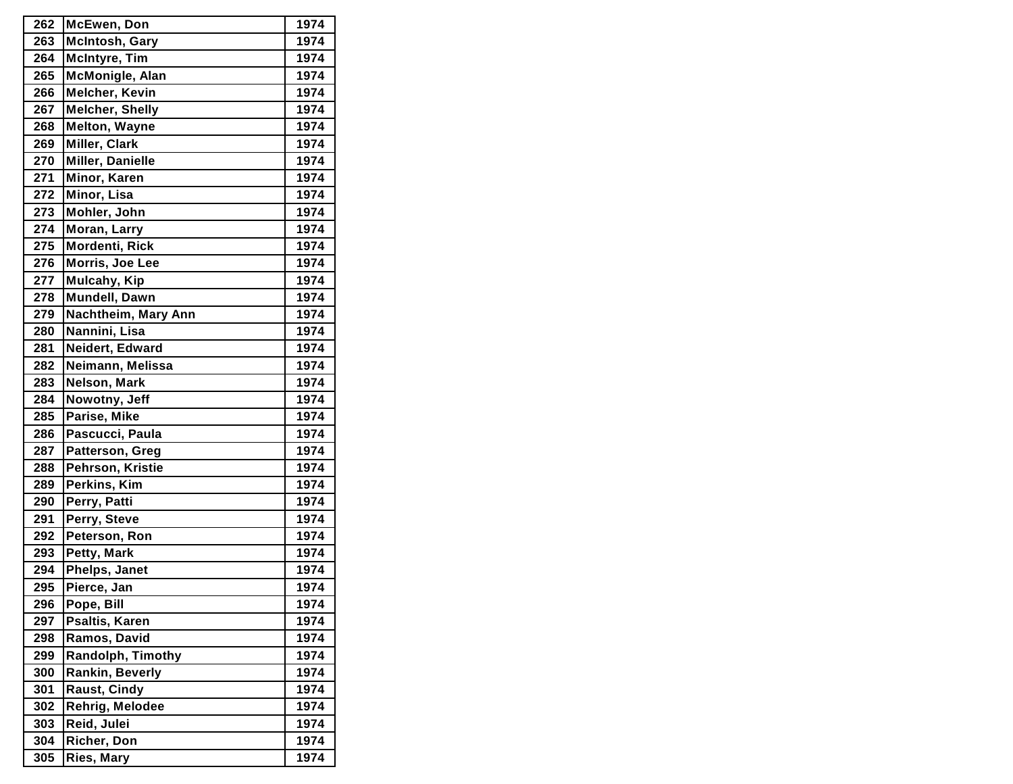| 262 | McEwen, Don              | 1974 |
|-----|--------------------------|------|
| 263 | <b>McIntosh, Gary</b>    | 1974 |
| 264 | <b>McIntyre, Tim</b>     | 1974 |
| 265 | McMonigle, Alan          | 1974 |
| 266 | <b>Melcher, Kevin</b>    | 1974 |
| 267 | <b>Melcher, Shelly</b>   | 1974 |
| 268 | <b>Melton, Wayne</b>     | 1974 |
| 269 | Miller, Clark            | 1974 |
| 270 | Miller, Danielle         | 1974 |
| 271 | Minor, Karen             | 1974 |
| 272 | Minor, Lisa              | 1974 |
| 273 | Mohler, John             | 1974 |
| 274 | Moran, Larry             | 1974 |
| 275 | Mordenti, Rick           | 1974 |
| 276 | Morris, Joe Lee          | 1974 |
| 277 | Mulcahy, Kip             | 1974 |
| 278 | Mundell, Dawn            | 1974 |
| 279 | Nachtheim, Mary Ann      | 1974 |
| 280 | Nannini, Lisa            | 1974 |
| 281 | Neidert, Edward          | 1974 |
| 282 | Neimann, Melissa         | 1974 |
| 283 | <b>Nelson, Mark</b>      | 1974 |
| 284 | Nowotny, Jeff            | 1974 |
| 285 | Parise, Mike             | 1974 |
| 286 | Pascucci, Paula          | 1974 |
| 287 | Patterson, Greg          | 1974 |
| 288 | Pehrson, Kristie         | 1974 |
| 289 | Perkins, Kim             | 1974 |
| 290 | Perry, Patti             | 1974 |
| 291 | Perry, Steve             | 1974 |
| 292 | Peterson, Ron            | 1974 |
| 293 | Petty, Mark              | 1974 |
| 294 | Phelps, Janet            | 1974 |
| 295 | Pierce, Jan              | 1974 |
| 296 | Pope, Bill               | 1974 |
| 297 | Psaltis, Karen           | 1974 |
| 298 | Ramos, David             | 1974 |
| 299 | <b>Randolph, Timothy</b> | 1974 |
| 300 | Rankin, Beverly          | 1974 |
| 301 | Raust, Cindy             | 1974 |
| 302 | Rehrig, Melodee          | 1974 |
| 303 | Reid, Julei              | 1974 |
| 304 | Richer, Don              | 1974 |
| 305 | Ries, Mary               | 1974 |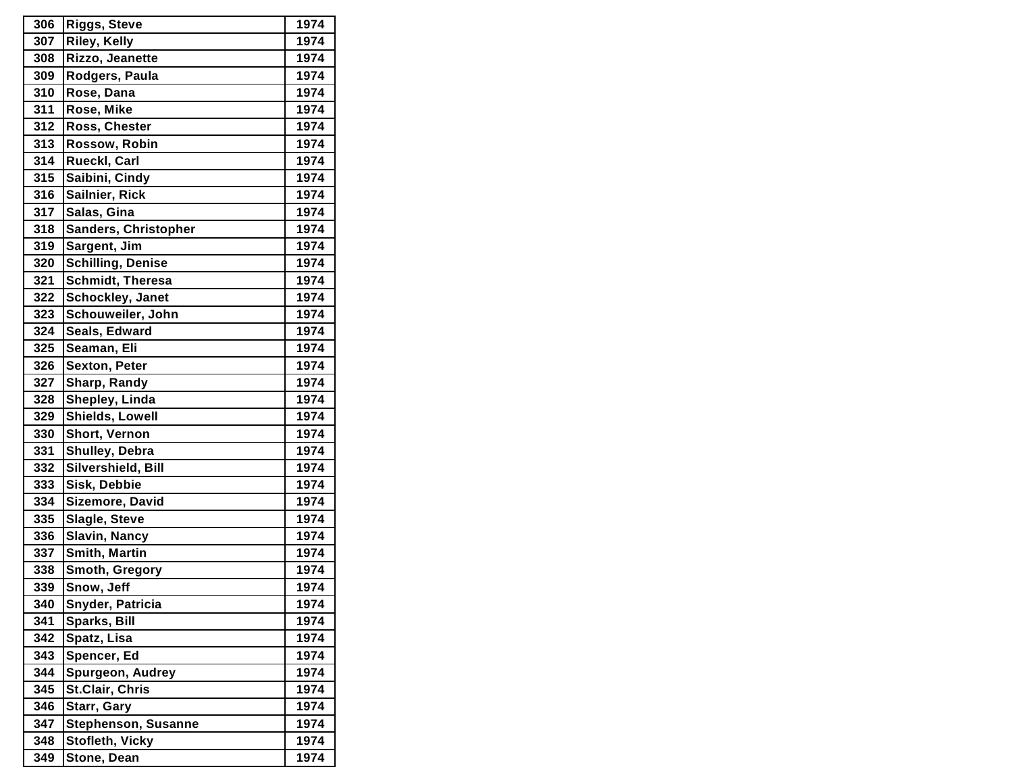| 306 | <b>Riggs, Steve</b>        | 1974 |
|-----|----------------------------|------|
| 307 | <b>Riley, Kelly</b>        | 1974 |
| 308 | Rizzo, Jeanette            | 1974 |
| 309 | Rodgers, Paula             | 1974 |
| 310 | Rose, Dana                 | 1974 |
| 311 | Rose, Mike                 | 1974 |
| 312 | Ross, Chester              | 1974 |
| 313 | Rossow, Robin              | 1974 |
| 314 | Rueckl, Carl               | 1974 |
| 315 | Saibini, Cindy             | 1974 |
| 316 | Sailnier, Rick             | 1974 |
| 317 | Salas, Gina                | 1974 |
| 318 | Sanders, Christopher       | 1974 |
| 319 | Sargent, Jim               | 1974 |
| 320 | <b>Schilling, Denise</b>   | 1974 |
| 321 | <b>Schmidt, Theresa</b>    | 1974 |
| 322 | Schockley, Janet           | 1974 |
| 323 | Schouweiler, John          | 1974 |
| 324 | Seals, Edward              | 1974 |
| 325 | Seaman, Eli                | 1974 |
| 326 | <b>Sexton, Peter</b>       | 1974 |
| 327 | Sharp, Randy               | 1974 |
| 328 | Shepley, Linda             | 1974 |
| 329 | Shields, Lowell            | 1974 |
| 330 | Short, Vernon              | 1974 |
| 331 | Shulley, Debra             | 1974 |
| 332 | Silvershield, Bill         | 1974 |
| 333 | Sisk, Debbie               | 1974 |
| 334 | Sizemore, David            | 1974 |
| 335 | Slagle, Steve              | 1974 |
| 336 | <b>Slavin, Nancy</b>       | 1974 |
| 337 | <b>Smith, Martin</b>       | 1974 |
| 338 | Smoth, Gregory             | 1974 |
| 339 | Snow, Jeff                 | 1974 |
| 340 | Snyder, Patricia           | 1974 |
| 341 | Sparks, Bill               | 1974 |
| 342 | Spatz, Lisa                | 1974 |
| 343 | Spencer, Ed                | 1974 |
| 344 | Spurgeon, Audrey           | 1974 |
| 345 | <b>St.Clair, Chris</b>     | 1974 |
| 346 | Starr, Gary                | 1974 |
| 347 | <b>Stephenson, Susanne</b> | 1974 |
| 348 | Stofleth, Vicky            | 1974 |
| 349 | Stone, Dean                | 1974 |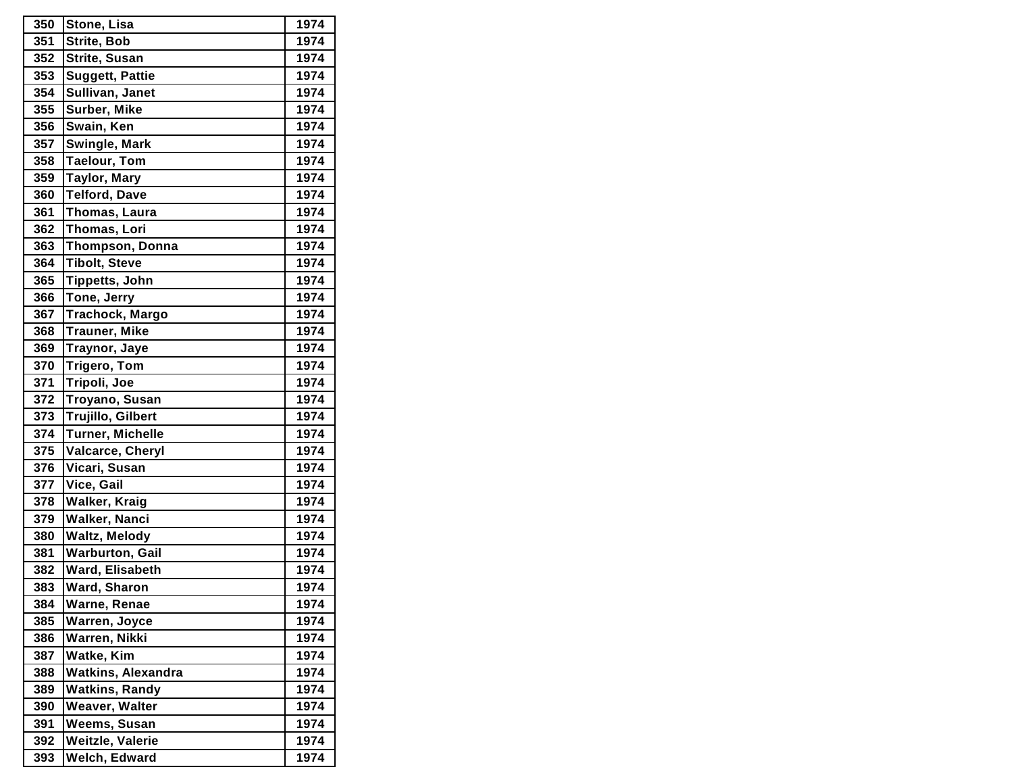| 350 | Stone, Lisa               | 1974 |
|-----|---------------------------|------|
| 351 | <b>Strite, Bob</b>        | 1974 |
| 352 | Strite, Susan             | 1974 |
| 353 | Suggett, Pattie           | 1974 |
| 354 | Sullivan, Janet           | 1974 |
| 355 | Surber, Mike              | 1974 |
| 356 | Swain, Ken                | 1974 |
| 357 | Swingle, Mark             | 1974 |
| 358 | <b>Taelour, Tom</b>       | 1974 |
| 359 | <b>Taylor, Mary</b>       | 1974 |
| 360 | <b>Telford, Dave</b>      | 1974 |
| 361 | Thomas, Laura             | 1974 |
| 362 | Thomas, Lori              | 1974 |
| 363 | <b>Thompson, Donna</b>    | 1974 |
| 364 | <b>Tibolt, Steve</b>      | 1974 |
| 365 | <b>Tippetts, John</b>     | 1974 |
| 366 | Tone, Jerry               | 1974 |
| 367 | Trachock, Margo           | 1974 |
| 368 | <b>Trauner, Mike</b>      | 1974 |
| 369 | Traynor, Jaye             | 1974 |
| 370 | Trigero, Tom              | 1974 |
| 371 | Tripoli, Joe              | 1974 |
| 372 | Troyano, Susan            | 1974 |
| 373 | Trujillo, Gilbert         | 1974 |
| 374 | <b>Turner, Michelle</b>   | 1974 |
| 375 | Valcarce, Cheryl          | 1974 |
| 376 | Vicari, Susan             | 1974 |
| 377 | Vice, Gail                | 1974 |
| 378 | <b>Walker, Kraig</b>      | 1974 |
| 379 | <b>Walker, Nanci</b>      | 1974 |
| 380 | <b>Waltz, Melody</b>      | 1974 |
| 381 | <b>Warburton, Gail</b>    | 1974 |
| 382 | Ward, Elisabeth           | 1974 |
| 383 | Ward, Sharon              | 1974 |
| 384 | Warne, Renae              | 1974 |
| 385 | Warren, Joyce             | 1974 |
| 386 | Warren, Nikki             | 1974 |
| 387 | Watke, Kim                | 1974 |
| 388 | <b>Watkins, Alexandra</b> | 1974 |
| 389 | <b>Watkins, Randy</b>     | 1974 |
| 390 | Weaver, Walter            | 1974 |
| 391 | Weems, Susan              | 1974 |
| 392 | Weitzle, Valerie          | 1974 |
| 393 | Welch, Edward             | 1974 |